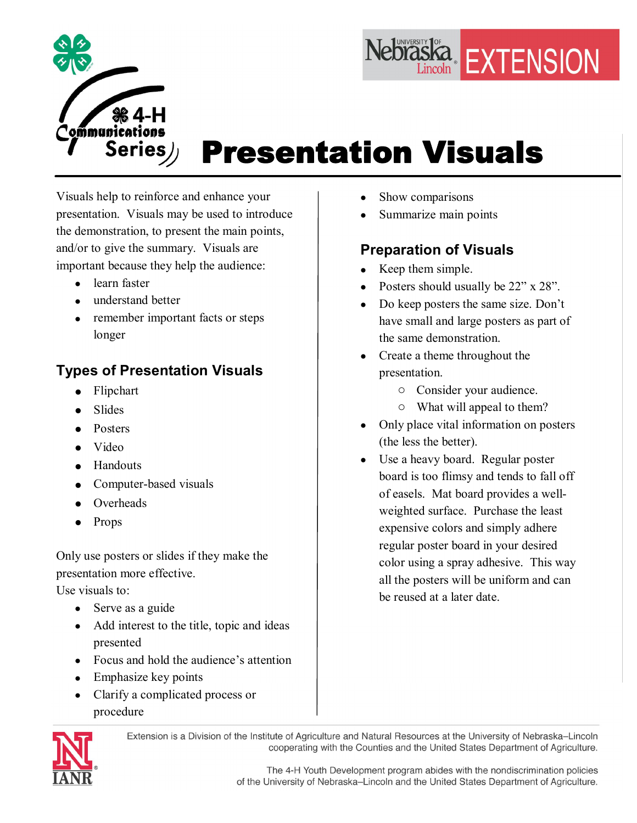



# Presentation Visuals

Visuals help to reinforce and enhance your presentation. Visuals may be used to introduce the demonstration, to present the main points, and/or to give the summary. Visuals are important because they help the audience:

- learn faster
- · understand better
- remember important facts or steps longer

## **Types of Presentation Visuals**

- Flipchart
- · Slides
- · Posters
- · Video
- Handouts
- Computer-based visuals
- Overheads
- Props

Only use posters or slides if they make the presentation more effective.

Use visuals to:

- Serve as a guide
- Add interest to the title, topic and ideas presented
- Focus and hold the audience's attention
- Emphasize key points
- Clarify a complicated process or procedure
- Show comparisons
- Summarize main points

## **Preparation of Visuals**

- Keep them simple.
- Posters should usually be 22" x 28".
- Do keep posters the same size. Don't have small and large posters as part of the same demonstration.
- Create a theme throughout the presentation.
	- o Consider your audience.
	- o What will appeal to them?
- Only place vital information on posters (the less the better).
- Use a heavy board. Regular poster board is too flimsy and tends to fall off of easels. Mat board provides a well weighted surface. Purchase the least expensive colors and simply adhere regular poster board in your desired color using a spray adhesive. This way all the posters will be uniform and can be reused at a later date.



Extension is a Division of the Institute of Agriculture and Natural Resources at the University of Nebraska-Lincoln cooperating with the Counties and the United States Department of Agriculture.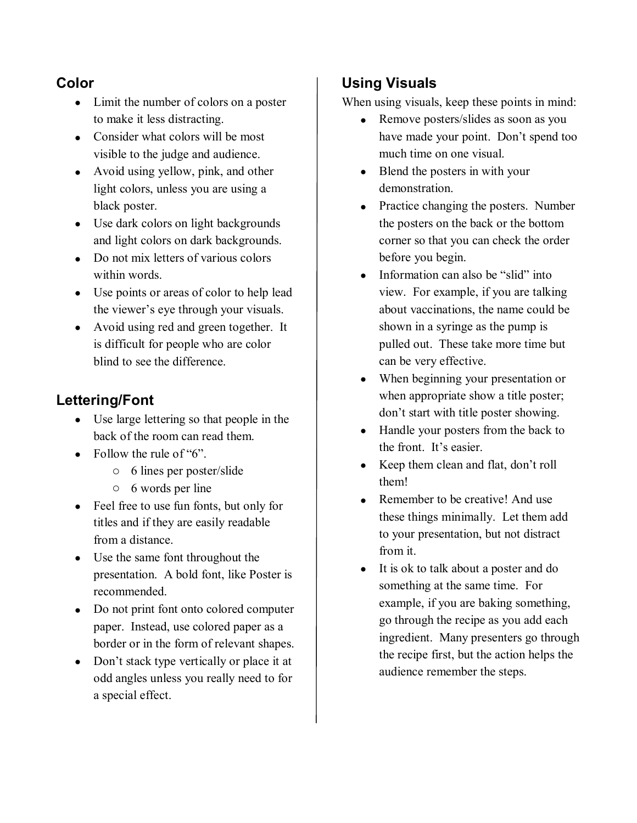#### **Color**

- · Limit the number of colors on a poster to make it less distracting.
- Consider what colors will be most visible to the judge and audience.
- Avoid using yellow, pink, and other light colors, unless you are using a black poster.
- Use dark colors on light backgrounds and light colors on dark backgrounds.
- Do not mix letters of various colors within words.
- · Use points or areas of color to help lead the viewer's eye through your visuals.
- · Avoid using red and green together. It is difficult for people who are color blind to see the difference.

#### **Lettering/Font**

- · Use large lettering so that people in the back of the room can read them.
- Follow the rule of " $6$ ".
	- o 6 lines per poster/slide
	- o 6 words per line
- Feel free to use fun fonts, but only for titles and if they are easily readable from a distance.
- · Use the same font throughout the presentation. A bold font, like Poster is recommended.
- Do not print font onto colored computer paper. Instead, use colored paper as a border or in the form of relevant shapes.
- Don't stack type vertically or place it at odd angles unless you really need to for a special effect.

### **Using Visuals**

When using visuals, keep these points in mind:

- Remove posters/slides as soon as you have made your point. Don't spend too much time on one visual.
- Blend the posters in with your demonstration.
- Practice changing the posters. Number the posters on the back or the bottom corner so that you can check the order before you begin.
- Information can also be "slid" into view. For example, if you are talking about vaccinations, the name could be shown in a syringe as the pump is pulled out. These take more time but can be very effective.
- · When beginning your presentation or when appropriate show a title poster; don't start with title poster showing.
- · Handle your posters from the back to the front. It's easier.
- Keep them clean and flat, don't roll them!
- Remember to be creative! And use these things minimally. Let them add to your presentation, but not distract from it.
- · It is ok to talk about a poster and do something at the same time. For example, if you are baking something, go through the recipe as you add each ingredient. Many presenters go through the recipe first, but the action helps the audience remember the steps.